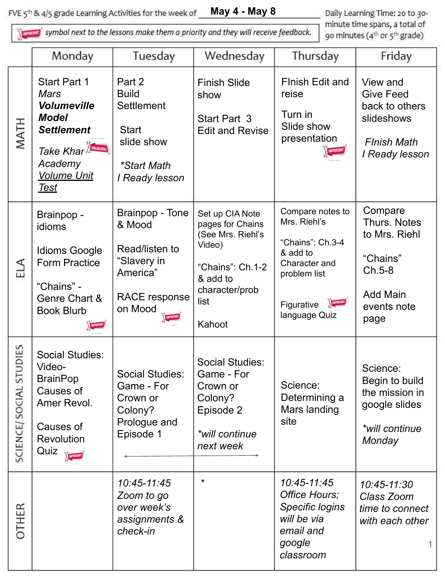**May 4 - May 8** FVE 5<sup>th</sup> & 4/5 grade Learning Activities for the week of

symbol next to the lessons make them a priority and they will receive feedback.

Daily Learning Time: 20 to 30minute time spans, a total of 90 minutes (4<sup>th</sup> or 5<sup>th</sup> grade)

|                               | Monday                                                                                                                                                        | Tuesday                                                                                                                  | Wednesday                                                                                                                              | Thursday                                                                                                                                     | Friday                                                                                                            |
|-------------------------------|---------------------------------------------------------------------------------------------------------------------------------------------------------------|--------------------------------------------------------------------------------------------------------------------------|----------------------------------------------------------------------------------------------------------------------------------------|----------------------------------------------------------------------------------------------------------------------------------------------|-------------------------------------------------------------------------------------------------------------------|
| MATH                          | <b>Start Part 1</b><br>Mars<br><b>Volumeville</b><br><b>Model</b><br><b>Settlement</b><br>Take Khar Finderson<br>Academy<br><b>Volume Unit</b><br><u>Test</u> | Part 2<br><b>Build</b><br><b>Settlement</b><br><b>Start</b><br>slide show<br><i><b>*Start Math</b></i><br>I Ready lesson | <b>Finish Slide</b><br>show<br>Start Part 3<br><b>Edit and Revise</b>                                                                  | <b>Flnish Edit and</b><br>reise<br>Turn in<br>Slide show<br>presentation<br><b>MPORTANT</b>                                                  | View and<br><b>Give Feed</b><br>back to others<br>slideshows<br><b>Flnish Math</b><br>I Ready lesson              |
| ELA                           | Brainpop -<br>idioms<br><b>Idioms Google</b><br><b>Form Practice</b><br>"Chains" -<br>Genre Chart &<br><b>Book Blurb</b><br><b>IMPORTANT</b>                  | Brainpop - Tone<br>& Mood<br>Read/listen to<br>"Slavery in<br>America"<br><b>RACE response</b><br>on Mood                | Set up CIA Note<br>pages for Chains<br>(See Mrs. Riehl's<br>Video)<br>"Chains": Ch.1-2<br>& add to<br>character/prob<br>list<br>Kahoot | Compare notes to<br>Mrs. Riehl's<br>"Chains": Ch.3-4<br>& add to<br>Character and<br>problem list<br>MPORTANT<br>Figurative<br>language Quiz | Compare<br><b>Thurs. Notes</b><br>to Mrs. Riehl<br>"Chains"<br>$Ch.5-8$<br><b>Add Main</b><br>events note<br>page |
| UDIES<br>51<br>SCIENCE/SOCIAL | <b>Social Studies:</b><br>Video-<br><b>BrainPop</b><br>Causes of<br>Amer Revol.<br>Causes of<br>Revolution<br>Quiz <b>Reported</b>                            | <b>Social Studies:</b><br>Game - For<br>Crown or<br>Colony?<br>Prologue and<br>Episode 1                                 | <b>Social Studies:</b><br>Game - For<br>Crown or<br>Colony?<br>Episode 2<br>*will continue<br>next week                                | Science:<br>Determining a<br>Mars landing<br>site                                                                                            | Science:<br>Begin to build<br>the mission in<br>google slides<br>*will continue<br>Monday                         |
| <b>OTHER</b>                  |                                                                                                                                                               | 10:45-11:45<br>Zoom to go<br>over week's<br>assignments &<br>check-in                                                    | $\star$                                                                                                                                | 10:45-11:45<br>Office Hours;<br><b>Specific logins</b><br>will be via<br>email and<br>google<br>classroom                                    | 10:45-11:30<br>Class Zoom<br>time to connect<br>with each other                                                   |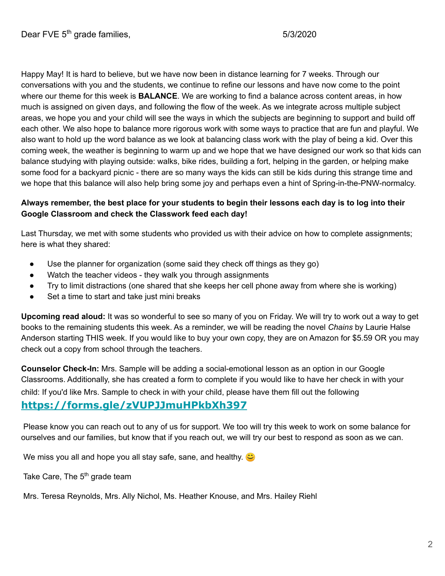Happy May! It is hard to believe, but we have now been in distance learning for 7 weeks. Through our conversations with you and the students, we continue to refine our lessons and have now come to the point where our theme for this week is **BALANCE**. We are working to find a balance across content areas, in how much is assigned on given days, and following the flow of the week. As we integrate across multiple subject areas, we hope you and your child will see the ways in which the subjects are beginning to support and build off each other. We also hope to balance more rigorous work with some ways to practice that are fun and playful. We also want to hold up the word balance as we look at balancing class work with the play of being a kid. Over this coming week, the weather is beginning to warm up and we hope that we have designed our work so that kids can balance studying with playing outside: walks, bike rides, building a fort, helping in the garden, or helping make some food for a backyard picnic - there are so many ways the kids can still be kids during this strange time and we hope that this balance will also help bring some joy and perhaps even a hint of Spring-in-the-PNW-normalcy.

#### **Always remember, the best place for your students to begin their lessons each day is to log into their Google Classroom and check the Classwork feed each day!**

Last Thursday, we met with some students who provided us with their advice on how to complete assignments; here is what they shared:

- Use the planner for organization (some said they check off things as they go)
- Watch the teacher videos they walk you through assignments
- Try to limit distractions (one shared that she keeps her cell phone away from where she is working)
- Set a time to start and take just mini breaks

**Upcoming read aloud:** It was so wonderful to see so many of you on Friday. We will try to work out a way to get books to the remaining students this week. As a reminder, we will be reading the novel *Chains* by Laurie Halse Anderson starting THIS week. If you would like to buy your own copy, they are on Amazon for \$5.59 OR you may check out a copy from school through the teachers.

**Counselor Check-In:** Mrs. Sample will be adding a social-emotional lesson as an option in our Google Classrooms. Additionally, she has created a form to complete if you would like to have her check in with your child: If you'd like Mrs. Sample to check in with your child, please have them fill out the following

#### **[https://forms.gle/zVUPJJmuHPkbXh397](https://nam01.safelinks.protection.outlook.com/?url=https%3A%2F%2Fforms.gle%2FzVUPJJmuHPkbXh397&data=02%7C01%7CANichol%40everettsd.org%7C3e5ab05e9dec47561b6808d7ee08043a%7Ca6158ef04f854b0da599925097f77b3d%7C0%7C0%7C637239590523712627&sdata=XDY8sQRCqoUmvO8dSBV%2Bwcj6KNord13wFBLc6qHjlt0%3D&reserved=0)**

 Please know you can reach out to any of us for support. We too will try this week to work on some balance for ourselves and our families, but know that if you reach out, we will try our best to respond as soon as we can.

We miss you all and hope you all stay safe, sane, and healthy.  $\bullet$ 

Take Care, The 5<sup>th</sup> grade team

Mrs. Teresa Reynolds, Mrs. Ally Nichol, Ms. Heather Knouse, and Mrs. Hailey Riehl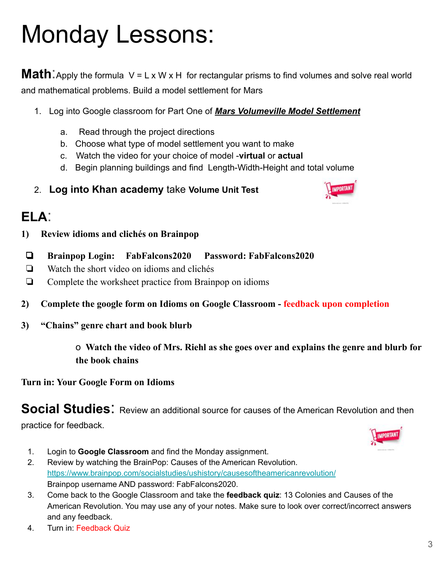# Monday Lessons:

**Math**. Apply the formula V = L x W x H for rectangular prisms to find volumes and solve real world and mathematical problems. Build a model settlement for Mars

- 1. Log into Google classroom for Part One of *Mars Volumeville Model Settlement* 
	- a. Read through the project directions
	- b. Choose what type of model settlement you want to make
	- c. Watch the video for your choice of model -**virtual** or **actual**
	- d. Begin planning buildings and find Length-Width-Height and total volume
- 2. **Log into Khan academy** take **Volume Unit Test**



- **1) Review idioms and clichés on Brainpop**
- ❏ **Brainpop Login: FabFalcons2020 Password: FabFalcons2020**
- ❏ Watch the short video on idioms and clichés
- ❏ Complete the worksheet practice from Brainpop on idioms
- **2) Complete the google form on Idioms on Google Classroom feedback upon completion**
- **3) "Chains" genre chart and book blurb**

o **Watch the video of Mrs. Riehl as she goes over and explains the genre and blurb for the book chains**

**Turn in: Your Google Form on Idioms**

**Social Studies:** Review an additional source for causes of the American Revolution and then

practice for feedback.



- 1. Login to **Google Classroom** and find the Monday assignment.
- 2. Review by watching the BrainPop: Causes of the American Revolution. <https://www.brainpop.com/socialstudies/ushistory/causesoftheamericanrevolution/> Brainpop username AND password: FabFalcons2020.
- 3. Come back to the Google Classroom and take the **feedback quiz**: 13 Colonies and Causes of the American Revolution. You may use any of your notes. Make sure to look over correct/incorrect answers and any feedback.
- 4. Turn in: Feedback Quiz

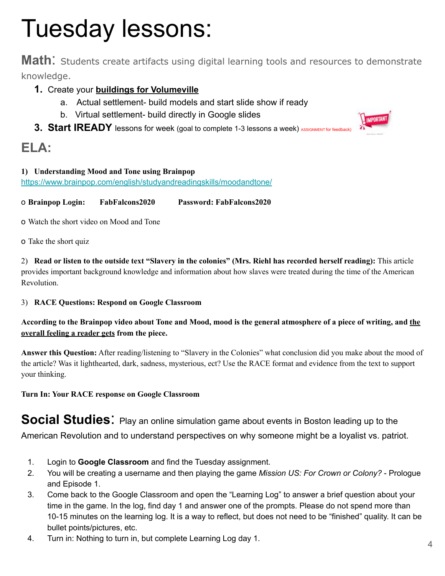# Tuesday lessons:

**Math**: Students create artifacts using digital learning tools and resources to demonstrate knowledge.

#### **1.** Create your **buildings for Volumeville**

- a. Actual settlement- build models and start slide show if ready
- b. Virtual settlement- build directly in Google slides
- 3. Start IREADY lessons for week (goal to complete 1-3 lessons a week) ASSIGNMENT for feedback)

## **ELA:**

#### **1) Understanding Mood and Tone using Brainpo[p](https://www.brainpop.com/english/studyandreadingskills/moodandtone/)**

<https://www.brainpop.com/english/studyandreadingskills/moodandtone/>

o **Brainpop Login: FabFalcons2020 Password: FabFalcons2020**

o Watch the short video on Mood and Tone

o Take the short quiz

2) **Read or listen to the outside text "Slavery in the colonies" (Mrs. Riehl has recorded herself reading):** This article provides important background knowledge and information about how slaves were treated during the time of the American Revolution.

3) **RACE Questions: Respond on Google Classroom**

#### **According to the Brainpop video about Tone and Mood, mood is the general atmosphere of a piece of writing, and the overall feeling a reader gets from the piece.**

**Answer this Question:** After reading/listening to "Slavery in the Colonies" what conclusion did you make about the mood of the article? Was it lighthearted, dark, sadness, mysterious, ect? Use the RACE format and evidence from the text to support your thinking.

**Turn In: Your RACE response on Google Classroom**

**Social Studies**: Play an online simulation game about events in Boston leading up to the

American Revolution and to understand perspectives on why someone might be a loyalist vs. patriot.

- 1. Login to **Google Classroom** and find the Tuesday assignment.
- 2. You will be creating a username and then playing the game *Mission US: For Crown or Colony?* Prologue and Episode 1.
- 3. Come back to the Google Classroom and open the "Learning Log" to answer a brief question about your time in the game. In the log, find day 1 and answer one of the prompts. Please do not spend more than 10-15 minutes on the learning log. It is a way to reflect, but does not need to be "finished" quality. It can be bullet points/pictures, etc.
- 4. Turn in: Nothing to turn in, but complete Learning Log day 1.

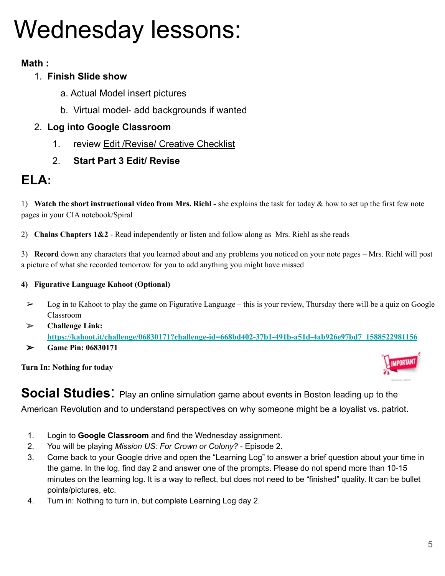# Wednesday lessons:

## **Math :**

## 1. **Finish Slide show**

- a. Actual Model insert pictures
- b. Virtual model- add backgrounds if wanted

### 2. **Log into Google Classroom**

- 1. review Edit /Revise/ Creative Checklist
- 2. **Start Part 3 Edit/ Revise**

## **ELA:**

1) **Watch the short instructional video from Mrs. Riehl -** she explains the task for today & how to set up the first few note pages in your CIA notebook/Spiral

2) **Chains Chapters 1&2** - Read independently or listen and follow along as Mrs. Riehl as she reads

3) **Record** down any characters that you learned about and any problems you noticed on your note pages – Mrs. Riehl will post a picture of what she recorded tomorrow for you to add anything you might have missed

#### **4) Figurative Language Kahoot (Optional)**

- $\geq$  Log in to Kahoot to play the game on Figurative Language this is your review, Thursday there will be a quiz on Google Classroom
- ➢ **Challenge Link[:](https://kahoot.it/challenge/06830171?challenge-id=668bd402-37b1-491b-a51d-4ab926e97bd7_1588522981156) [https://kahoot.it/challenge/06830171?challenge-id=668bd402-37b1-491b-a51d-4ab926e97bd7\\_1588522981156](https://kahoot.it/challenge/06830171?challenge-id=668bd402-37b1-491b-a51d-4ab926e97bd7_1588522981156)**
- ➢ **Game Pin: 06830171**

**Turn In: Nothing for today**



**Social Studies:** Play an online simulation game about events in Boston leading up to the

American Revolution and to understand perspectives on why someone might be a loyalist vs. patriot.

- 1. Login to **Google Classroom** and find the Wednesday assignment.
- 2. You will be playing *Mission US: For Crown or Colony?* Episode 2.
- 3. Come back to your Google drive and open the "Learning Log" to answer a brief question about your time in the game. In the log, find day 2 and answer one of the prompts. Please do not spend more than 10-15 minutes on the learning log. It is a way to reflect, but does not need to be "finished" quality. It can be bullet points/pictures, etc.
- 4. Turn in: Nothing to turn in, but complete Learning Log day 2.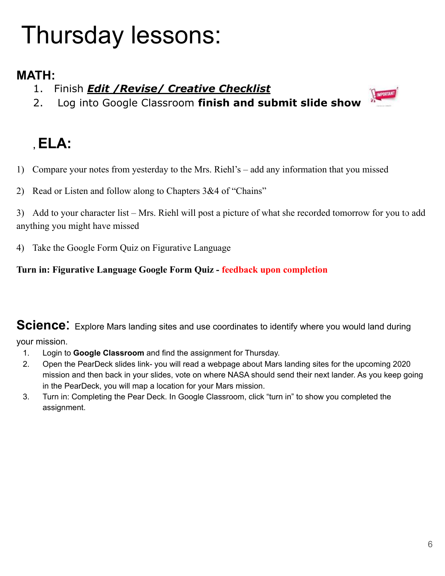# Thursday lessons:

## **MATH:**

- 1. Finish *Edit /Revise/ Creative Checklist*
- 2. Log into Google Classroom **finish and submit slide show**



## **, ELA:**

- 1) Compare your notes from yesterday to the Mrs. Riehl's add any information that you missed
- 2) Read or Listen and follow along to Chapters 3&4 of "Chains"

3) Add to your character list – Mrs. Riehl will post a picture of what she recorded tomorrow for you to add anything you might have missed

4) Take the Google Form Quiz on Figurative Language

### **Turn in: Figurative Language Google Form Quiz - feedback upon completion**

**Science:** Explore Mars landing sites and use coordinates to identify where you would land during

- your mission.
	- 1. Login to **Google Classroom** and find the assignment for Thursday.
	- 2. Open the PearDeck slides link- you will read a webpage about Mars landing sites for the upcoming 2020 mission and then back in your slides, vote on where NASA should send their next lander. As you keep going in the PearDeck, you will map a location for your Mars mission.
	- 3. Turn in: Completing the Pear Deck. In Google Classroom, click "turn in" to show you completed the assignment.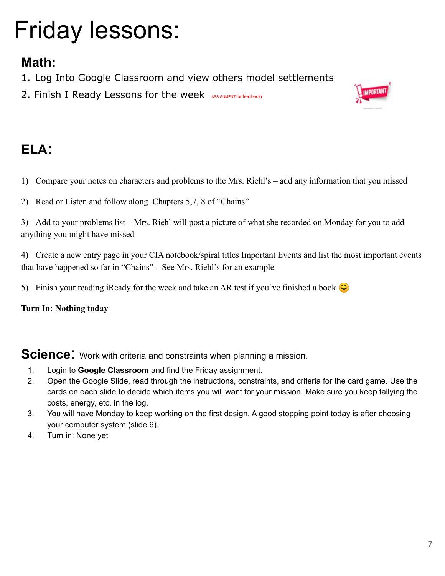# Friday lessons:

## **Math:**

- 1. Log Into Google Classroom and view others model settlements
- 2. Finish I Ready Lessons for the week ASSIGNMENT for feedback)



## **ELA:**

- 1) Compare your notes on characters and problems to the Mrs. Riehl's add any information that you missed
- 2) Read or Listen and follow along Chapters 5,7, 8 of "Chains"

3) Add to your problems list – Mrs. Riehl will post a picture of what she recorded on Monday for you to add anything you might have missed

4) Create a new entry page in your CIA notebook/spiral titles Important Events and list the most important events that have happened so far in "Chains" – See Mrs. Riehl's for an example

5) Finish your reading iReady for the week and take an AR test if you've finished a book  $\bullet$ 

**Turn In: Nothing today**

**Science:** Work with criteria and constraints when planning a mission.

- 1. Login to **Google Classroom** and find the Friday assignment.
- 2. Open the Google Slide, read through the instructions, constraints, and criteria for the card game. Use the cards on each slide to decide which items you will want for your mission. Make sure you keep tallying the costs, energy, etc. in the log.
- 3. You will have Monday to keep working on the first design. A good stopping point today is after choosing your computer system (slide 6).
- 4. Turn in: None yet